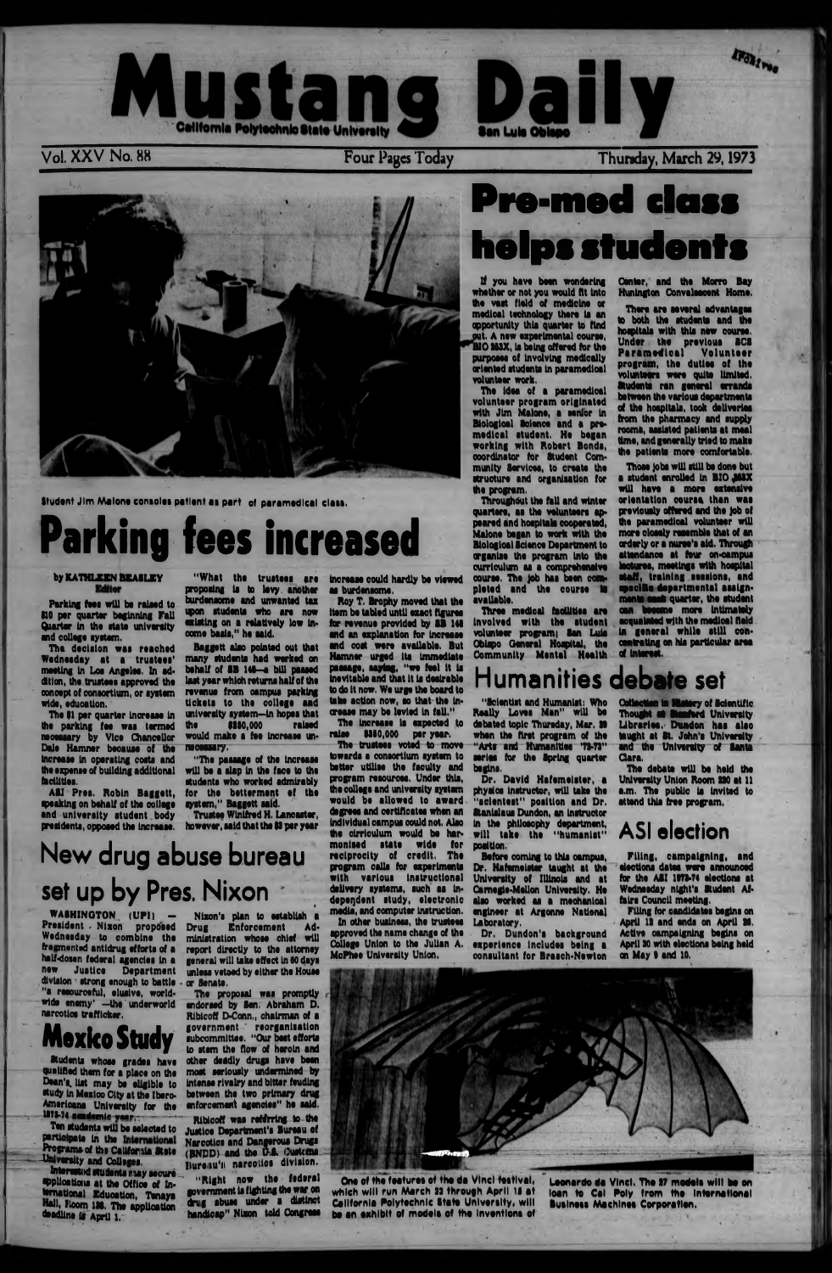

Student Jim Malone consoles patient as part of paramedical class.

pro poiing is to levy another "What the trustees are burdensome and unwanted tax upon students who are now existing on a relatively low income basis." he said.

# **Parking fees increased**

### by KATHLEEN BEASLEY

Parking fees will be raised to HO per quarter beginning Fall Quarter in the state university and college system.

The decision was reached Wednesday at a trustees' meeting in Los Angeles. In addition, the trustees approved the ooncept of consortium, or system wide, education.

A&I Pres. Robin Baggett, speaking on behalf of the college and university student body presidents, opposed the Increase.

Baggett also pointed out that many students had worked on behalf of SB 146-a bill passed last year which returns half of the revenue from oampus parking tickets to the college and university system—in hopes that<br>the \$250,000 raised  $the$  \$150,000 would make a fee Increase unnecessary.

The 91 per quarter increase in the parking fee was termed necessary by Vice Chancellor Dale Hamner because of the Increase in operating coats and the expense of building additional facilities.

WASHINGTON (UPI) President . Nixon proposed Wednesday to combine the fragmented antidrug efforts of a half-dossn federal agendas in a new Justice Department division strong enough to battle -"a resourceful, elusive, worldwide enemy' —the underworld narcotics trafficker.

Nixon's plan to establish<br>Drug Enforcement A Enforcement Administration whose chief will report directly to the attorney general will take effect in 60 days unless vetoed by either the House or Senate.

"Hie passage of the increase will be a slap In the face to the students who worked admirably for the betterment of the system," Baggett said.

Trustee Winifred H. Lancaster, however, said that the \$5 per year

New drug abuse bureau

# set up by Pres. Nixon

— The trustees voted to move towards a consortium system to better utilise the faculty and program resources. Under this, the college and university system would be allowed to award degrees and certificates when an individual campus could not. Alao the cirriculum would be harmonised state wide for reciprocity of credit. The program calls for experiments with various instructional delivery systems, such as independent study, electronic media', and computer Instruction. In other business, the trustees approved the name change of the College Union to the Julian A. McPhee University Union.

# Pre-med class helps students

# **Mexico Study**

Students whose grades have quaiiftad them for a place on the Dean's list may be eligible to study in Mexico City at the Ibero-Americana University for the H 73.74 l O i d i y n l c y u p - -

Ten students will be selected to Justice Department's Bureau of participate in the International Narcotics and Dangerous Drugs entilelpate in the International Narcotics and Dangerous Drugs<br>Programs of the California State (BNDD) and the U.S. (Justema

University and Colleges.<br> **Enterested students may secure Hureau's** narcotics division.<br> **Entered in the Office of The College of Solicity and Sederal Splications at the Office of In-** " **Exight now the versus the terrational Education**, Tenays government is fighting the war on Hall, Hoom 136. The application thandicap" Nixon told Congress deadline is April 1.

The idea of a paramedical volunteer program originated with Jim Malone, a senior in Biologioal Science and a premedical student. He began working with Robert Bonds, coordinator for Student Community Services, to create the structure and organisation for the program.

Throughout the fall and winter quarters, as the volunteers appeared and hospitals cooperated, Malone began to work with the Biologioal Science Department to organise the program into the curriculum as a comprehensive course. The job has been completed and the course **to** available.

Three medical facilities are involved with the student volunteer program) San Luis Obispo General Hospital, the Community Mental Health

The proposal was promptly sndorsed by Sen, Abraham D. Ribicoff D-Conn., chairman of a government \* reorganisation subcommittee. "Our best efforts to stem the flow of heroin and other deadly drugs have been most seriously undermined by intense rivalry and bitter feuding between the two primary drug enforcement agencies" he said.

There are several advantages to both the students and the hospitals with this new ooune. Under the previous 8CS Paramedical Volunteer program, the duties of the volunteers were quite limited. Students ran general errands between the various departments of the hospitals, took deliveries from the pharmacy and supply roomk, assisted patients at meal time, and generally tried to make the patients more comfortable.

Ribicoff was refirring to the

increase could hardly be viewed as burdensome,

Those jobs will still be done but a student enrolled in BIO JASX will have a more extensive orientation course than was previously offered and the Job of the paramedical volunteer will more cloeely remmble that of an orderly or a nurse's aid. Through attendance at tour on-campus lectures, meetings with hospital staff, training sessions, and mecific departmental assignments seat quarter, the student oan became more intimately acquainted with the medical field in general while still concentrating on his particular area *at* intonst,

Roy T. Brophy moved that the item be tabled until exact figures for revenue provided by SB 141 and an explanation for increase and cost were available. But Hamner urged its immediate passage, saying, "we feel it is inevitable and that it is desirable to do it now. We urge the board to take action now, so that the increase may be levied in fall."

The increase is expected to raise \$560,000 per year.

> The debate will be held the University Union Room ISO at 11 a.m. The public is invited to attend this free program,

for the ASI 1973-74 elections at Wednesday night's Student Affairs Council meeting.

One of the features of the da Vinci festival, which will run March 23 through April 15 at California Polytechnic State University, will be an exhibit of models of the Inventions of

If you have been wondering whether or not you would fit into the vast field of medicine or medical technology there is an opportunity this quarter to find out. A new experimental course. BIO 263X, is being offered for the purposes of Involving medically oriented students in paramedical volunteer work.

Center, and the Morro Bay Huntngton Convalescent Home.

### Humanities debate set

"Scientist and Humanist: Who Really Loves Man" will be debated topic Thursday, Mar. 20 when the first program of the "Arts and Humanities 71-73" series for the Spring quarter begins.

Dr. David Hafemeister, a physics instructor, will take the "sclenteat" position and Dr. Stanislaus Dundon, an Instructor in the philosophy department, will take the "humanist" position.

Before coming to this oampus, Dr. Hafemeister taught at the

University of Illinois and at Camegie-Mellon University. He alao worked as a mechanical engineer at Argonne National Laboratory.

Dr, Dundon's background experience includes being a consultant tor Brasch-Newton

Collection in Watery of Scientific Thought at Stanford University Libraries. Dundon has also taught at St. John's University and the University of Santa Qara.

### **ASI election**

Filing, campaigning, and elections dates were announced

Filing for candidates begins on April 12 and ends on April 36. Active campaigning begins on April 50 with elections being hold on May I and 10.



Leonerdo da Vinci. The 17 models wilt be on lean to Cel Poly from the International Business Machines Corporation.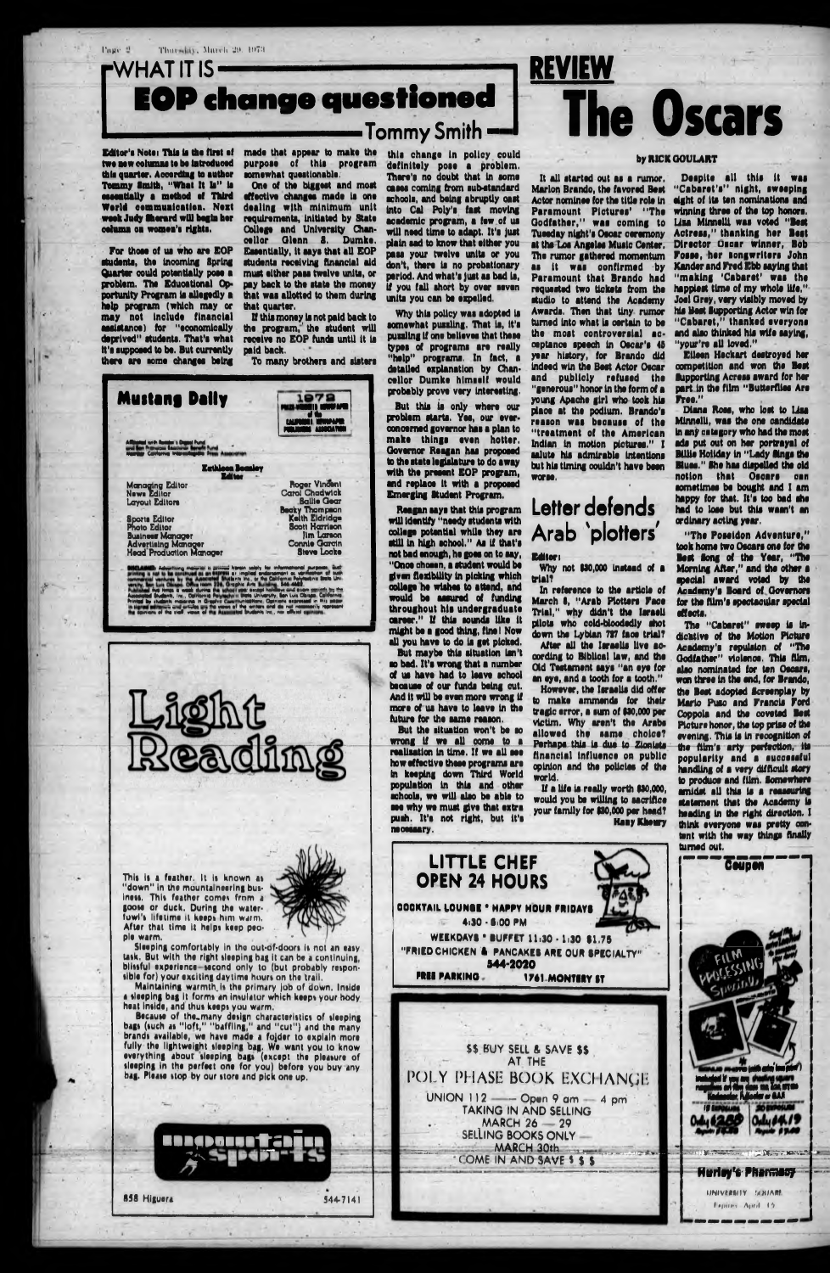WHAT IT IS-**EOP change questioned** Tommy Smith

Editor's Note: This is the first of two now columns to be introduced this quarter. According to author Tommy Smith, "What It Is" is essentially a method of Third Werld communication. Next week Judy Sherard will begin her celuma ca women's rights.

Thursday, March 29, 1973.

Page #

For those of us who are EOP students, the incorning Spring Quarter could potentially pose a problem. The Educational Opportunity Program is allegedly a help program (which may or may not include financial assistance) for "economically deprived" students. That's what it's supposed to be. But currently there are some changes being

made that appear to make the purpose of this program somewhat questionable.

One of the biggest and most effective changes made is one dealing with minimum unit requirements, initiated by State College and University Chancellor Glenn 8. Dumke. Essentially, it says that all EOP students receiving financial aid must either pass twelve units, or pay back to the state the money that was allotted to them during that quarter.

If this money is not paid back to the program, the student will receive no EOP funds until it is paid back.

To many brothers and sisters





this change in policy could definitely pose a problem. There's no doubt that in some cases coming from sub-standard schools, and being abruptly cast into Cal Poly's fast moving academic program, a few of us will need time to adapt. It's just plain sad to know that either you pass your twelve units or you don't, there is no probationary period. And what's just as bad is.

if you fall short by over seven

units you can be expelled. Why this policy was adopted is somewhat pussling. That is, it's puzzling if one believes that these types of programs are really "help" programs. In fact, a detailed explanation by Chancellor Dumke himself would probably prove very interesting.

But this is only where our problem starts. Yes, our everconcerned governor has a plan to make things even hotter. Governor Reagan has proposed to the state legislature to do away with the present EOP program, and replace it with a proposed Emerging Student Program.

Reagan says that this program will identify "needy students with college potential while they are still in high school." As if that's not bad enough, he goes on to say, "Once chosen, a student would be given flexibility in picking which college he wishes to attend, and would be assured of funding throughout his undergraduate career." If this sounds like it might be a good thing, fine! Now all you have to do is get picked.

But maybe this situation isn't so bad. It's wrong that a number of us have had to leave school because of our funds being out. And it will be even more wrong if more of us have to leave in the future for the same reason.

But the situation won't be so wrong if we all come to a realization in time. If we all see how effective these programs are in keeping down Third World population in this and other schools, we will also be able to see why we must give that extra push. It's not right, but it's necessary.

**LITTLE CHEF** 

# **The Oscars** by RICK GOULART It all started out as a rumor.

Marion Brando, the favored Best Actor nominee for the title role in Paramount Pictures' "The Godfather," was coming to Tuesday night's Oscar ceremony at the Los Angeles Music Center. The rumor gathered momentum as it was confirmed by Paramount that Brando had requested two tickets from the studio to attend the Academy Awards. Then that tiny rumor turned into what is certain to be the most controversial acceptance speech in Oscar's 45 year history, for Brando did indeed win the Best Actor Oscar and publicly refused the<br>"generous" honor in the form of a young Apache girl who took his place at the podium. Brando's reason was because of the "treatment of the American Indian in motion pictures." I salute his admirable intentions but his timing couldn't have been worse.

**REVIEW** 

## Letter defends Arab 'plotters'

#### **Editor**

Why not \$30,000 instead of a trial?

In reference to the article of March 8, "Arab Plotters Face Trial," why didn't the Israeli pilots who cold-bloodedly shot down the Lybian 727 face trial? After all the Israelis live according to Biblical law, and the

Old Testament says "an eye for an eye, and a tooth for a tooth." However, the Israelis did offer

to make ammends for their tragic error, a sum of \$30,000 per victim. Why aren't the Arabs allowed the same choice? Perhaps this is due to Zionista financial influence on public opinion and the policies of the world.

If a life is really worth \$30,000, would you be willing to sacrifice your family for \$30,000 per head? **Hany Khoury** 

Despite all this it was "Cabaret's" night, sweeping eight of its ten nominations and winning three of the top honors. Liza Minnelli was voted "Best Actress." thanking her Best Director Oscar Winner, Bob Fosse, her songwriters John Kander and Fred Ebb saying that "making 'Cabaret' was the happiest time of my whole life." Joel Grey, very visibly moved by his liest Supporting Actor win for "Cabaret," thanked everyone and also thinked his wife saying, "your're all loved."

Etleen Heckart destroyed her competition and won the Best **Supporting Acress award for her** part in the film "Butterflies Are Free."

Diana Ross, who lost to Lisa Minnelli, was the one candidate in any category who had the most ads put out on her portrayal of **Billie Holiday in "Lady Sings the** Blues." She has dispelled the old notion that Oscars can sometimes be bought and I am happy for that. It's too bad she had to lose but this wasn't an ordinary acting year.

"The Possidon Adventure." took home two Oscars one for the Best Song of the Year, "The Morning After," and the other a mecial award voted by the **Academy's Board of Governors** for the film's spectacular special effects.

The "Cabaret" sweep is indicative of the Motion Picture Academy's repulsion of "The Godfather" violence. This film. also nominated for ten Oscars,<br>won three in the end, for Brando, the Best adopted Screenplay by Mario Puso and Francis Ford Coppois and the coveted Best Picture honor, the top prise of the evening. This is in recognition of the film's arty perfection, its popularity and a successful handling of a very difficult story to produce and film. Somewhere amidst all this is a reassuring statement that the Academy is heading in the right direction. I think everyone was pretty content with the way things finally turned out.



This is a feather. It is known as 'down" in the mountaineering business. This feather comes from a goose or duck. During the waterfowl's lifetime it keeps him warm. After that time it helps keep people warm.

**858 Higuera** 



 $5447141$ 

Sleeping comfortably in the out-of-doors is not an easy. task. But with the right sleeping bag it can be a continuing, blissful experience-second only to (but probably responsible for) your exciting daytime hours on the trail.

Maintaining warmth is the primary job of down, Inside a sleeping bag it forms an insulator which keeps your hody. heat inside, and thus keeps you warm.

Because of the many design characteristics of sleeping<br>bags (such as "loft," "baffling," and "cut") and the many<br>brands available, we have made a folder to explain more fully the lightweight sleeping bag. We want you to know everything about sleeping bags (except the pleasure of sleeping in the perfect one for you) before you buy any bag. Please stop by our store and pick one up.



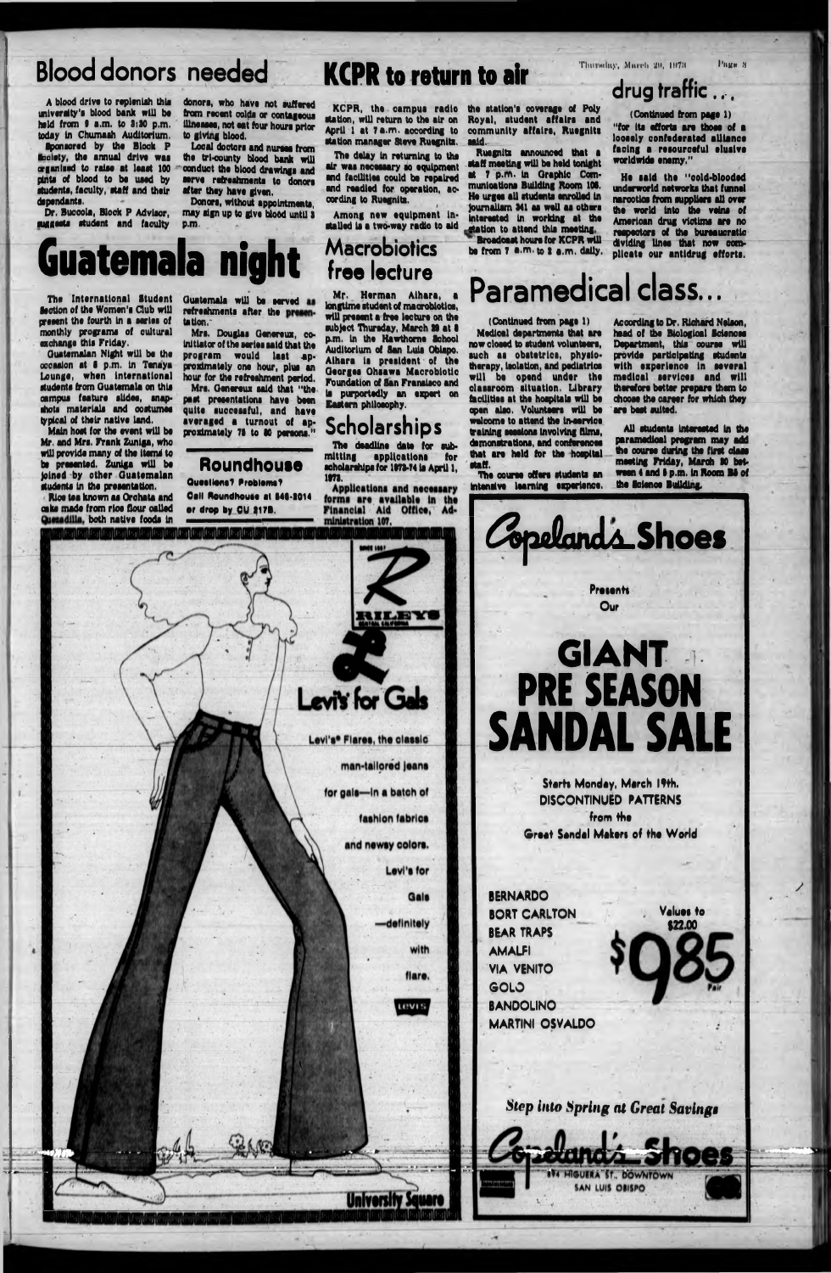# Blood donors needed **KCPR to return to air** Thursday, March 20, 1978

A blood drlvo to replenish this university's blood bank will bo hold from 9 a.m. to 3:30 p.m. today In Chumaah Auditorium.

Sponsored by tho Block P Society, tho annual drlvo waa organized to ralao at loaat 100 pinto of blood to bo uaod by atudonta, faculty, ataff and thoir dapondanta.

Dr. Buccola, Block P Advisor. suggests student and faculty

Local doctors and nurses from the trl-county blood bank will ' conduct tho blood drawlnga and aorvo rofroahmonta to donora after they havo given.

Donors, without appointments. may algn up to glvo blood until a p.m. .

Tho delay in returning to the air waa nocoaaary ao equipment and fadlltloe could be repaired and readied for operation, according to Ruegnitz.

Among new equipment in-<br>stalled is a two-way radio to aid

donora, who havo not aufforod from recant colda or contagooua Ulnoaaoa, not oat four houra prior to giving blood.

> Ruognlta announced that a ataff meeting will be held tonight at 7 p.m. in Graphic Communioatlona Building Room 106. He urgea all atudonta enrolled in Journalism 941 aa well aa other\* interacted in working at the station to attend this meeting.<br>Broadcast hours for KCPR will be from 7 a.m. to 2 a.m. daily.

### **Macrobiotics free lecture**

KCPR, tho campua radio atation, will return to tho air on April 1 at 7 a.m. according to atation manager Stove Ruognlta.

The International Student lection of the Women's Club will present the fourth in a series of monthly programs of cultural exchange this Friday.

the station's coverage of Poly Royal, atudont affalra and community affairs, Ruognits aaid.

Guatemala will be served as refreshments after the presentation.~

# **Guatemala night**

Mrs. Oenereux said that "the past presentations have been quite successful, and have averaged a turnout of approximately 78 to 80 persons."

Roundhouse Questions? Problems? Oall Roundhouse at 846-2014 or drop by CU 217B.

**drug traffic.,,**

(Continued from page 1) "for its efforts are those of a looaely confederated alliance facing a resourceful elualve worldwide enemy."

Mr. Herman Alhara, longtime student of macrobiotics, will present a free lecture on the subject Thursday, March 29 at 8 p.m. in the Hawthorne School Auditorium of San Luis Obispo. Alhara la president of the Georges Ohsawa Macrobiotic Foundation of San Franslsco and la purportedly an expert on Eastern philosophy.

The deadline date for submitting applications for scholarships for 1973-74 is April 1, 1179.

He aaid the "cold-blooded underworld networks that funnel narootloa from suppliers all over the world Into the veins of American drug victims are no roapectora of the bureaucratic dividing lines that now complicate our antidrug efforts.

The course offers students an intensive learning experience.

Guatemalan Night will be the occasion at I p.m. In Tenaya Lounge, when international students from Guatemala on this campus feature slides, snap- ■hots materials and oostumea typical of thoir native land.



Main hoot for the event will be Mr, and Mrs. Frank Zuniga, who will provide many of the items to be presented. Zuniga will be Joined by other Guatemalan students In the presentation.

Rice tea known as Orehata and oaks made from rice flour called

Mrs. Douglas Generous, coinitiator of the series said that tho program would last approximately one hour, plus an hour for the refreshment period,

### **Scholarships**

Applications and necessary forms are available In the

# **Paramedical class...**

(Continued from page 1)

Medical departments that are now closed to student volunteers, such as obstetrics, physiotherapy, Isolation, and pediatrics will be opend under the classroom situation. Library fhciliUos at the hospitals will be open also. Volunteers will be welcome to attend the In-service training sessions involving films, demonstrations, and conferences that are held for the hospital staff.

According to Dr. Richard Nelson, head of the Biological Sciences Department, this course will provide participating students with experience in several medical services and will therefore better prepare them to choose the career for which they are best suited.

All students Interested In the paramedical program may add the oourse during the first class meeting Friday, March 90 between 4 and 8 p.m. in Room B8 of the loienoe Building.